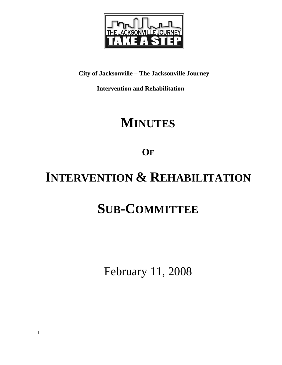

**City of Jacksonville – The Jacksonville Journey** 

 **Intervention and Rehabilitation** 

## **MINUTES**

**OF**

# **INTERVENTION & REHABILITATION**

# **SUB-COMMITTEE**

February 11, 2008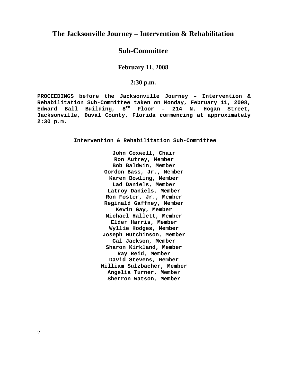### **The Jacksonville Journey – Intervention & Rehabilitation**

## **Sub-Committee**

**February 11, 2008** 

#### **2:30 p.m.**

**PROCEEDINGS before the Jacksonville Journey – Intervention & Rehabilitation Sub-Committee taken on Monday, February 11, 2008, Edward Ball Building, 8th Floor – 214 N. Hogan Street, Jacksonville, Duval County, Florida commencing at approximately 2:30 p.m.** 

**Intervention & Rehabilitation Sub-Committee** 

**John Coxwell, Chair Ron Autrey, Member Bob Baldwin, Member Gordon Bass, Jr., Member Karen Bowling, Member Lad Daniels, Member Latroy Daniels, Member Ron Foster, Jr., Member Reginald Gaffney, Member Kevin Gay, Member Michael Hallett, Member Elder Harris, Member Wyllie Hodges, Member Joseph Hutchinson, Member Cal Jackson, Member Sharon Kirkland, Member Ray Reid, Member David Stevens, Member William Sulzbacher, Member Angelia Turner, Member Sherron Watson, Member**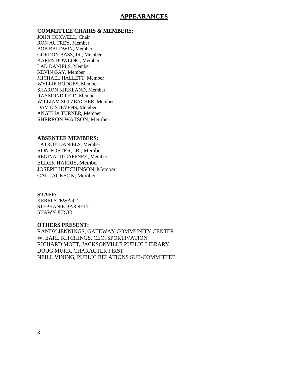#### **APPEARANCES**

#### **COMMITTEE CHAIRS & MEMBERS:**

JOHN COXWELL, Chair RON AUTREY, Member BOB BALDWIN, Member GORDON BASS, JR., Member KAREN BOWLING, Member LAD DANIELS, Member KEVIN GAY, Member MICHAEL HALLETT, Member WYLLIE HODGES, Member SHARON KIRKLAND, Member RAYMOND REID, Member WILLIAM SULZBACHER, Member DAVID STEVENS, Member ANGELIA TURNER, Member SHERRON WATSON, Member

#### **ABSENTEE MEMBERS:**

LATROY DANIELS, Member RON FOSTER, JR., Member REGINALD GAFFNEY, Member ELDER HARRIS, Member JOSEPH HUTCHINSON, Member CAL JACKSON, Member

#### **STAFF:**

KERRI STEWART STEPHANIE BARNETT SHAWN JEROR

#### **OTHERS PRESENT:**

RANDY JENNINGS, GATEWAY COMMUNITY CENTER W. EARL KITCHINGS, CEO, SPORTIVATION RICHARD MOTT, JACKSONVILLE PUBLIC LIBRARY DOUG MURR, CHARACTER FIRST NEILL VINING, PUBLIC RELATIONS SUB-COMMITTEE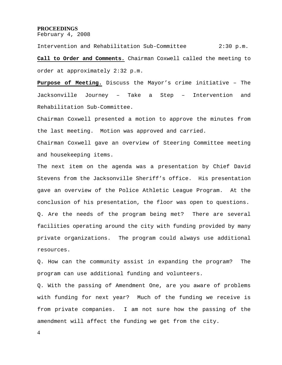#### **PROCEEDINGS**

February 4, 2008

Intervention and Rehabilitation Sub-Committee 2:30 p.m. **Call to Order and Comments.** Chairman Coxwell called the meeting to order at approximately 2:32 p.m.

**Purpose of Meeting.** Discuss the Mayor's crime initiative – The Jacksonville Journey – Take a Step – Intervention and Rehabilitation Sub-Committee.

Chairman Coxwell presented a motion to approve the minutes from the last meeting. Motion was approved and carried.

Chairman Coxwell gave an overview of Steering Committee meeting and housekeeping items.

The next item on the agenda was a presentation by Chief David Stevens from the Jacksonville Sheriff's office. His presentation gave an overview of the Police Athletic League Program. At the conclusion of his presentation, the floor was open to questions. Q. Are the needs of the program being met? There are several facilities operating around the city with funding provided by many private organizations. The program could always use additional resources.

Q. How can the community assist in expanding the program? The program can use additional funding and volunteers.

Q. With the passing of Amendment One, are you aware of problems with funding for next year? Much of the funding we receive is from private companies. I am not sure how the passing of the amendment will affect the funding we get from the city.

4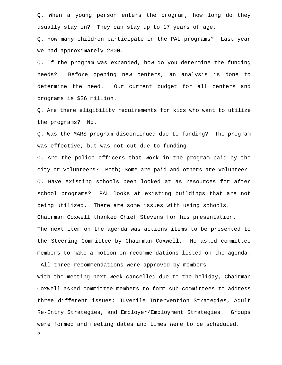Q. When a young person enters the program, how long do they usually stay in? They can stay up to 17 years of age.

Q. How many children participate in the PAL programs? Last year we had approximately 2300.

Q. If the program was expanded, how do you determine the funding needs? Before opening new centers, an analysis is done to determine the need. Our current budget for all centers and programs is \$26 million.

Q. Are there eligibility requirements for kids who want to utilize the programs? No.

Q. Was the MARS program discontinued due to funding? The program was effective, but was not cut due to funding.

Q. Are the police officers that work in the program paid by the city or volunteers? Both; Some are paid and others are volunteer. Q. Have existing schools been looked at as resources for after school programs? PAL looks at existing buildings that are not being utilized. There are some issues with using schools. Chairman Coxwell thanked Chief Stevens for his presentation. The next item on the agenda was actions items to be presented to the Steering Committee by Chairman Coxwell. He asked committee

All three recommendations were approved by members.

members to make a motion on recommendations listed on the agenda.

With the meeting next week cancelled due to the holiday, Chairman Coxwell asked committee members to form sub-committees to address three different issues: Juvenile Intervention Strategies, Adult Re-Entry Strategies, and Employer/Employment Strategies. Groups were formed and meeting dates and times were to be scheduled.

5